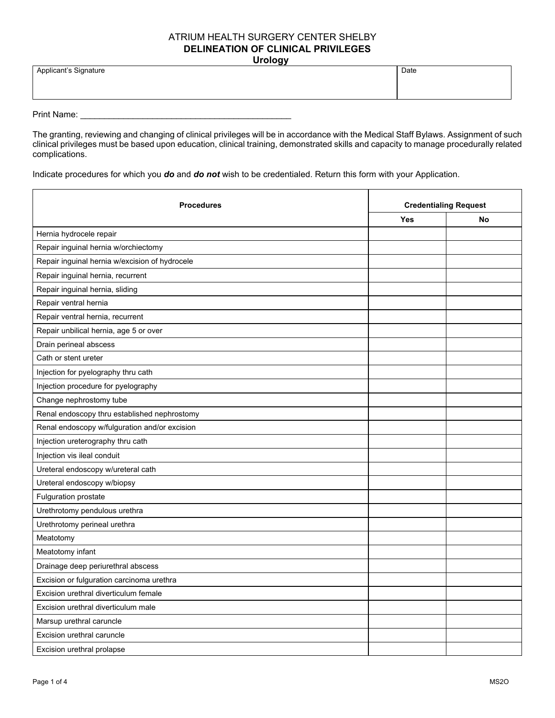## ATRIUM HEALTH SURGERY CENTER SHELBY **DELINEATION OF CLINICAL PRIVILEGES Urology**

| -----                 |      |  |
|-----------------------|------|--|
| Applicant's Signature | Date |  |
|                       |      |  |
|                       |      |  |
|                       |      |  |

Print Name: \_\_\_\_\_\_\_\_\_\_\_\_\_\_\_\_\_\_\_\_\_\_\_\_\_\_\_\_\_\_\_\_\_\_\_\_\_\_\_\_\_\_\_\_

The granting, reviewing and changing of clinical privileges will be in accordance with the Medical Staff Bylaws. Assignment of such clinical privileges must be based upon education, clinical training, demonstrated skills and capacity to manage procedurally related complications.

Indicate procedures for which you *do* and *do not* wish to be credentialed. Return this form with your Application.

| <b>Procedures</b>                              | <b>Credentialing Request</b> |           |
|------------------------------------------------|------------------------------|-----------|
|                                                | <b>Yes</b>                   | <b>No</b> |
| Hernia hydrocele repair                        |                              |           |
| Repair inguinal hernia w/orchiectomy           |                              |           |
| Repair inguinal hernia w/excision of hydrocele |                              |           |
| Repair inguinal hernia, recurrent              |                              |           |
| Repair inguinal hernia, sliding                |                              |           |
| Repair ventral hernia                          |                              |           |
| Repair ventral hernia, recurrent               |                              |           |
| Repair unbilical hernia, age 5 or over         |                              |           |
| Drain perineal abscess                         |                              |           |
| Cath or stent ureter                           |                              |           |
| Injection for pyelography thru cath            |                              |           |
| Injection procedure for pyelography            |                              |           |
| Change nephrostomy tube                        |                              |           |
| Renal endoscopy thru established nephrostomy   |                              |           |
| Renal endoscopy w/fulguration and/or excision  |                              |           |
| Injection ureterography thru cath              |                              |           |
| Injection vis ileal conduit                    |                              |           |
| Ureteral endoscopy w/ureteral cath             |                              |           |
| Ureteral endoscopy w/biopsy                    |                              |           |
| <b>Fulguration prostate</b>                    |                              |           |
| Urethrotomy pendulous urethra                  |                              |           |
| Urethrotomy perineal urethra                   |                              |           |
| Meatotomy                                      |                              |           |
| Meatotomy infant                               |                              |           |
| Drainage deep periurethral abscess             |                              |           |
| Excision or fulguration carcinoma urethra      |                              |           |
| Excision urethral diverticulum female          |                              |           |
| Excision urethral diverticulum male            |                              |           |
| Marsup urethral caruncle                       |                              |           |
| Excision urethral caruncle                     |                              |           |
| Excision urethral prolapse                     |                              |           |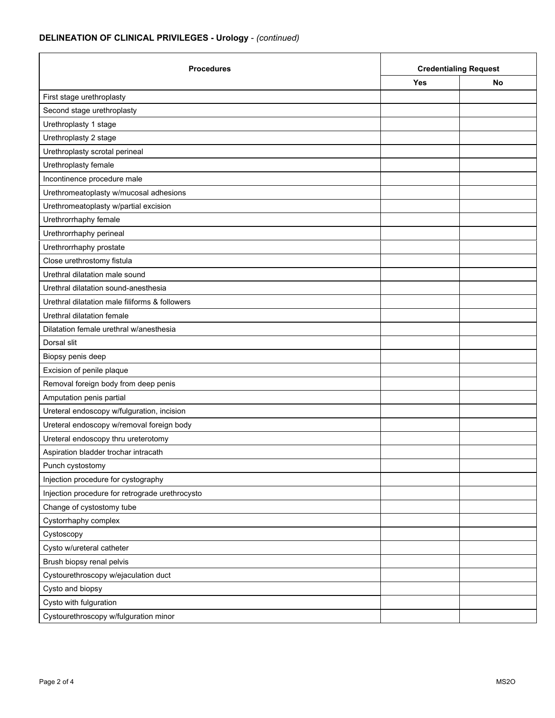## **DELINEATION OF CLINICAL PRIVILEGES - Urology** - *(continued)*

| <b>Procedures</b>                               | <b>Credentialing Request</b> |    |
|-------------------------------------------------|------------------------------|----|
|                                                 | <b>Yes</b>                   | No |
| First stage urethroplasty                       |                              |    |
| Second stage urethroplasty                      |                              |    |
| Urethroplasty 1 stage                           |                              |    |
| Urethroplasty 2 stage                           |                              |    |
| Urethroplasty scrotal perineal                  |                              |    |
| Urethroplasty female                            |                              |    |
| Incontinence procedure male                     |                              |    |
| Urethromeatoplasty w/mucosal adhesions          |                              |    |
| Urethromeatoplasty w/partial excision           |                              |    |
| Urethrorrhaphy female                           |                              |    |
| Urethrorrhaphy perineal                         |                              |    |
| Urethrorrhaphy prostate                         |                              |    |
| Close urethrostomy fistula                      |                              |    |
| Urethral dilatation male sound                  |                              |    |
| Urethral dilatation sound-anesthesia            |                              |    |
| Urethral dilatation male filiforms & followers  |                              |    |
| Urethral dilatation female                      |                              |    |
| Dilatation female urethral w/anesthesia         |                              |    |
| Dorsal slit                                     |                              |    |
| Biopsy penis deep                               |                              |    |
| Excision of penile plaque                       |                              |    |
| Removal foreign body from deep penis            |                              |    |
| Amputation penis partial                        |                              |    |
| Ureteral endoscopy w/fulguration, incision      |                              |    |
| Ureteral endoscopy w/removal foreign body       |                              |    |
| Ureteral endoscopy thru ureterotomy             |                              |    |
| Aspiration bladder trochar intracath            |                              |    |
| Punch cystostomy                                |                              |    |
| Injection procedure for cystography             |                              |    |
| Injection procedure for retrograde urethrocysto |                              |    |
| Change of cystostomy tube                       |                              |    |
| Cystorrhaphy complex                            |                              |    |
| Cystoscopy                                      |                              |    |
| Cysto w/ureteral catheter                       |                              |    |
| Brush biopsy renal pelvis                       |                              |    |
| Cystourethroscopy w/ejaculation duct            |                              |    |
| Cysto and biopsy                                |                              |    |
| Cysto with fulguration                          |                              |    |
| Cystourethroscopy w/fulguration minor           |                              |    |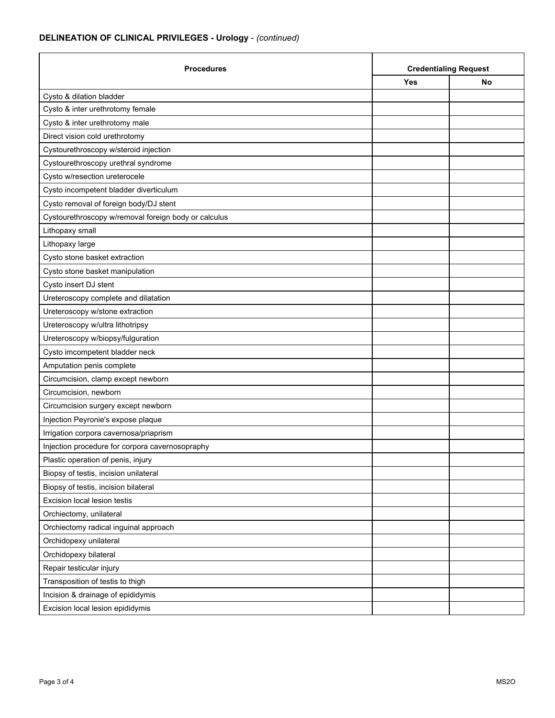## **DELINEATION OF CLINICAL PRIVILEGES - Urology** - *(continued)*

| <b>Procedures</b>                                    | <b>Credentialing Request</b> |    |
|------------------------------------------------------|------------------------------|----|
|                                                      | Yes                          | No |
| Cysto & dilation bladder                             |                              |    |
| Cysto & inter urethrotomy female                     |                              |    |
| Cysto & inter urethrotomy male                       |                              |    |
| Direct vision cold urethrotomy                       |                              |    |
| Cystourethroscopy w/steroid injection                |                              |    |
| Cystourethroscopy urethral syndrome                  |                              |    |
| Cysto w/resection ureterocele                        |                              |    |
| Cysto incompetent bladder diverticulum               |                              |    |
| Cysto removal of foreign body/DJ stent               |                              |    |
| Cystourethroscopy w/removal foreign body or calculus |                              |    |
| Lithopaxy small                                      |                              |    |
| Lithopaxy large                                      |                              |    |
| Cysto stone basket extraction                        |                              |    |
| Cysto stone basket manipulation                      |                              |    |
| Cysto insert DJ stent                                |                              |    |
| Ureteroscopy complete and dilatation                 |                              |    |
| Ureteroscopy w/stone extraction                      |                              |    |
| Ureteroscopy w/ultra lithotripsy                     |                              |    |
| Ureteroscopy w/biopsy/fulguration                    |                              |    |
| Cysto imcompetent bladder neck                       |                              |    |
| Amputation penis complete                            |                              |    |
| Circumcision, clamp except newborn                   |                              |    |
| Circumcision, newborn                                |                              |    |
| Circumcision surgery except newborn                  |                              |    |
| Injection Peyronie's expose plaque                   |                              |    |
| Irrigation corpora cavernosa/priaprism               |                              |    |
| Injection procedure for corpora cavernosopraphy      |                              |    |
| Plastic operation of penis, injury                   |                              |    |
| Biopsy of testis, incision unilateral                |                              |    |
| Biopsy of testis, incision bilateral                 |                              |    |
| Excision local lesion testis                         |                              |    |
| Orchiectomy, unilateral                              |                              |    |
| Orchiectomy radical inguinal approach                |                              |    |
| Orchidopexy unilateral                               |                              |    |
| Orchidopexy bilateral                                |                              |    |
| Repair testicular injury                             |                              |    |
| Transposition of testis to thigh                     |                              |    |
| Incision & drainage of epididymis                    |                              |    |
| Excision local lesion epididymis                     |                              |    |